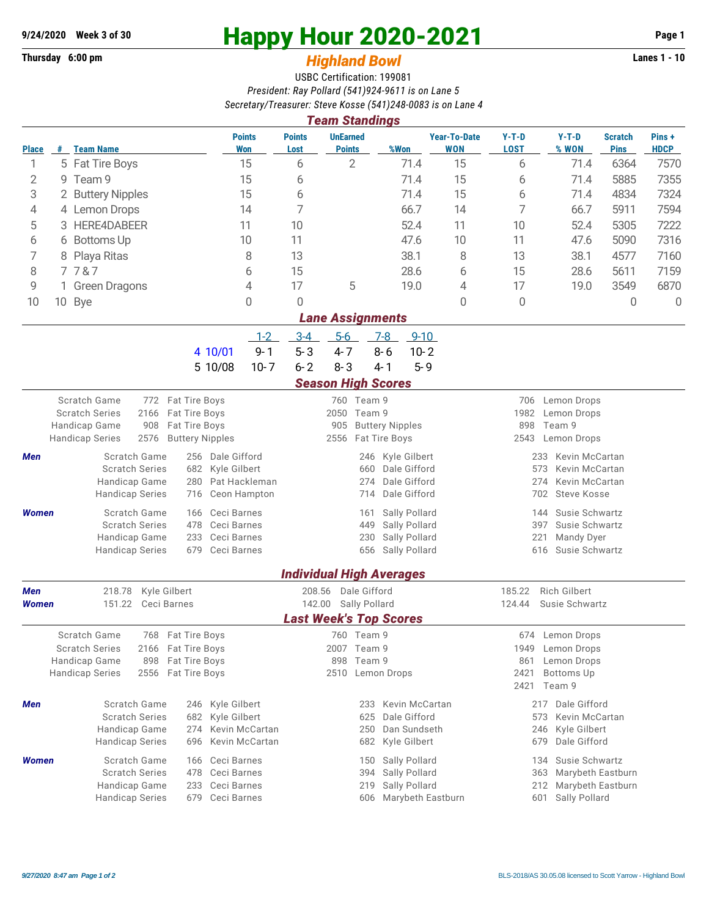## **Thursday 6:00 pm** *Highland Bowl* **Lanes 1 - 10**

## **9/24/2020 Week 3 of 30 Happy Hour 2020-2021 Page 1**

## USBC Certification: 199081 *President: Ray Pollard (541)924-9611 is on Lane 5 Secretary/Treasurer: Steve Kosse (541)248-0083 is on Lane 4*

|                                                        | <b>Team Standings</b>     |                                         |                                             |                       |                                                          |                                 |                                   |                                                   |                                         |                               |                      |  |  |
|--------------------------------------------------------|---------------------------|-----------------------------------------|---------------------------------------------|-----------------------|----------------------------------------------------------|---------------------------------|-----------------------------------|---------------------------------------------------|-----------------------------------------|-------------------------------|----------------------|--|--|
| <b>Place</b>                                           |                           | # Team Name                             | <b>Points</b><br><b>Won</b>                 | <b>Points</b><br>Lost | <b>UnEarned</b><br><b>Points</b>                         | %Won                            | <b>Year-To-Date</b><br><b>WON</b> | $Y-T-D$<br><b>LOST</b>                            | $Y-T-D$<br>% WON                        | <b>Scratch</b><br><b>Pins</b> | Pins+<br><b>HDCP</b> |  |  |
| 1                                                      |                           | 5 Fat Tire Boys                         | 15                                          | 6                     | $\overline{2}$                                           | 71.4                            | 15                                | 6                                                 | 71.4                                    | 6364                          | 7570                 |  |  |
| 2                                                      |                           | 9 Team 9                                |                                             | 6                     |                                                          | 71.4                            | 15                                | 6                                                 | 71.4                                    | 5885                          | 7355                 |  |  |
| 3                                                      | 2 Buttery Nipples         |                                         |                                             | 6                     |                                                          | 71.4                            | 15                                | 6                                                 | 71.4                                    | 4834                          | 7324                 |  |  |
| 4                                                      |                           | 4 Lemon Drops                           | 14                                          | 7                     |                                                          | 66.7                            | 14                                | 7                                                 | 66.7                                    | 5911                          | 7594                 |  |  |
| 5                                                      | 3                         | HERE4DABEER                             | 11                                          | 10                    |                                                          | 52.4                            | 11                                | 10                                                | 52.4                                    | 5305                          | 7222                 |  |  |
| 6                                                      |                           | 6 Bottoms Up                            | 10                                          | 11                    |                                                          | 47.6                            | 10                                | 11                                                | 47.6                                    | 5090                          | 7316                 |  |  |
| 7                                                      |                           | 8 Playa Ritas                           | 8                                           | 13                    |                                                          | 38.1<br>8                       |                                   | 13                                                | 38.1                                    | 4577                          | 7160                 |  |  |
| 8                                                      | 7787                      |                                         | 6                                           | 15                    |                                                          | 28.6                            | 6                                 | 15                                                | 28.6                                    | 5611                          | 7159                 |  |  |
| 9                                                      |                           | 1 Green Dragons                         | 4                                           | 17                    | 5                                                        | 19.0                            | 4                                 | 17                                                | 19.0                                    | 3549                          | 6870                 |  |  |
| 10                                                     | 10 Bye                    |                                         | 0                                           | 0                     |                                                          |                                 | 0                                 | 0                                                 |                                         | 0                             | $\Omega$             |  |  |
|                                                        | <b>Lane Assignments</b>   |                                         |                                             |                       |                                                          |                                 |                                   |                                                   |                                         |                               |                      |  |  |
|                                                        |                           |                                         |                                             | $3 - 4$<br>$1 - 2$    | $5-6$                                                    | $9 - 10$<br>$7 - 8$             |                                   |                                                   |                                         |                               |                      |  |  |
|                                                        |                           |                                         | 4 10/01                                     | $5 - 3$<br>$9 - 1$    | $4 - 7$                                                  | $8 - 6$<br>$10 - 2$             |                                   |                                                   |                                         |                               |                      |  |  |
|                                                        |                           |                                         | 5 10/08                                     | $6 - 2$<br>$10 - 7$   | $8 - 3$                                                  | $4 - 1$<br>$5 - 9$              |                                   |                                                   |                                         |                               |                      |  |  |
|                                                        | <b>Season High Scores</b> |                                         |                                             |                       |                                                          |                                 |                                   |                                                   |                                         |                               |                      |  |  |
| Scratch Game<br>772 Fat Tire Boys                      |                           |                                         |                                             | 760 Team 9            |                                                          |                                 | 706 Lemon Drops                   |                                                   |                                         |                               |                      |  |  |
| <b>Scratch Series</b><br>2166                          |                           |                                         | Fat Tire Boys<br>Fat Tire Boys              |                       | 2050 Team 9<br>905                                       |                                 |                                   | 1982<br>Lemon Drops<br>Team 9<br>898              |                                         |                               |                      |  |  |
| Handicap Game<br>908<br><b>Handicap Series</b><br>2576 |                           |                                         | <b>Buttery Nipples</b>                      |                       | 2556 Fat Tire Boys                                       | <b>Buttery Nipples</b>          |                                   | 2543<br>Lemon Drops                               |                                         |                               |                      |  |  |
| Scratch Game<br>256 Dale Gifford<br>Men                |                           |                                         |                                             | 246                   | Kyle Gilbert                                             |                                 | Kevin McCartan<br>233             |                                                   |                                         |                               |                      |  |  |
| <b>Scratch Series</b>                                  |                           | Kyle Gilbert<br>682                     |                                             | Dale Gifford<br>660   |                                                          | 573<br>Kevin McCartan           |                                   |                                                   |                                         |                               |                      |  |  |
| Handicap Game                                          |                           |                                         | 280<br>Pat Hackleman                        |                       | 274                                                      | 274<br>Kevin McCartan           |                                   |                                                   |                                         |                               |                      |  |  |
|                                                        |                           | <b>Handicap Series</b>                  | Ceon Hampton<br>716                         |                       | Dale Gifford<br>702<br><b>Steve Kosse</b><br>714         |                                 |                                   |                                                   |                                         |                               |                      |  |  |
| Women                                                  |                           | Scratch Game                            | Ceci Barnes<br>166                          |                       | 161                                                      | Sally Pollard                   |                                   | Susie Schwartz<br>144                             |                                         |                               |                      |  |  |
|                                                        |                           | <b>Scratch Series</b>                   | 478<br>Ceci Barnes                          |                       | 449                                                      | Sally Pollard                   |                                   | 397<br>Susie Schwartz                             |                                         |                               |                      |  |  |
|                                                        |                           | Handicap Game                           | 233<br>Ceci Barnes                          |                       | 230                                                      | Sally Pollard                   |                                   | 221<br>Mandy Dyer                                 |                                         |                               |                      |  |  |
|                                                        |                           | <b>Handicap Series</b>                  | 679<br>Ceci Barnes                          |                       | 656                                                      | Sally Pollard                   |                                   | 616<br>Susie Schwartz                             |                                         |                               |                      |  |  |
|                                                        |                           |                                         |                                             |                       |                                                          | <b>Individual High Averages</b> |                                   |                                                   |                                         |                               |                      |  |  |
| Kyle Gilbert<br><b>Men</b><br>218.78                   |                           |                                         | Dale Gifford<br>208.56                      |                       |                                                          | <b>Rich Gilbert</b><br>185.22   |                                   |                                                   |                                         |                               |                      |  |  |
| <b>Women</b>                                           |                           | 151.22<br>Ceci Barnes                   |                                             |                       | Sally Pollard<br>142.00<br><b>Last Week's Top Scores</b> |                                 |                                   | 124.44<br>Susie Schwartz                          |                                         |                               |                      |  |  |
|                                                        |                           | Scratch Game                            | 768 Fat Tire Boys                           |                       | 760 Team 9                                               |                                 |                                   |                                                   | 674 Lemon Drops                         |                               |                      |  |  |
|                                                        |                           | <b>Scratch Series</b>                   | 2166 Fat Tire Boys                          |                       | 2007 Team 9                                              |                                 |                                   | 1949                                              | Lemon Drops                             |                               |                      |  |  |
| Fat Tire Boys<br>Handicap Game<br>898                  |                           |                                         | 898 Team 9                                  |                       |                                                          | Lemon Drops<br>861              |                                   |                                                   |                                         |                               |                      |  |  |
| <b>Handicap Series</b><br>2556 Fat Tire Boys           |                           |                                         | 2510 Lemon Drops                            |                       |                                                          |                                 | 2421<br>Bottoms Up                |                                                   |                                         |                               |                      |  |  |
|                                                        |                           |                                         |                                             |                       |                                                          |                                 |                                   |                                                   | 2421 Team 9                             |                               |                      |  |  |
| Men                                                    |                           | Scratch Game                            | 246 Kyle Gilbert                            |                       | 233                                                      | Kevin McCartan                  |                                   |                                                   | 217 Dale Gifford                        |                               |                      |  |  |
|                                                        |                           | <b>Scratch Series</b>                   | 682 Kyle Gilbert                            |                       | 625                                                      | Dale Gifford                    |                                   | Kevin McCartan<br>573                             |                                         |                               |                      |  |  |
|                                                        |                           | Handicap Game<br><b>Handicap Series</b> | 274 Kevin McCartan<br>Kevin McCartan<br>696 |                       | Dan Sundseth<br>250<br>682<br>Kyle Gilbert               |                                 |                                   |                                                   | Kyle Gilbert<br>246<br>679 Dale Gifford |                               |                      |  |  |
|                                                        |                           |                                         |                                             |                       |                                                          |                                 |                                   |                                                   |                                         |                               |                      |  |  |
| Women                                                  |                           | Scratch Game<br><b>Scratch Series</b>   | Ceci Barnes<br>166<br>Ceci Barnes<br>478    |                       | 150                                                      | Sally Pollard                   |                                   | Susie Schwartz<br>134<br>Marybeth Eastburn<br>363 |                                         |                               |                      |  |  |
|                                                        |                           | Handicap Game                           | Ceci Barnes<br>233                          |                       | Sally Pollard<br>394<br>Sally Pollard<br>219<br>212      |                                 |                                   |                                                   |                                         |                               | Marybeth Eastburn    |  |  |
|                                                        |                           | <b>Handicap Series</b>                  | 679 Ceci Barnes                             |                       | 606                                                      | Marybeth Eastburn               |                                   |                                                   | Sally Pollard<br>601                    |                               |                      |  |  |